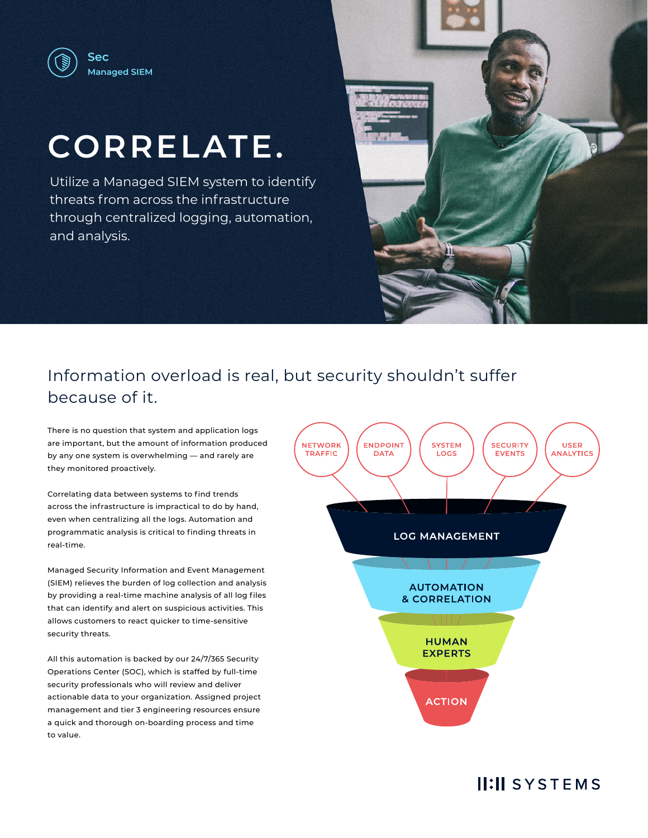

# **CORRELATE.**

Utilize a Managed SIEM system to identify threats from across the infrastructure through centralized logging, automation, and analysis.



# Information overload is real, but security shouldn't suffer because of it.

There is no question that system and application logs are important, but the amount of information produced by any one system is overwhelming — and rarely are they monitored proactively.

Correlating data between systems to find trends across the infrastructure is impractical to do by hand, even when centralizing all the logs. Automation and programmatic analysis is critical to finding threats in real-time.

Managed Security Information and Event Management (SIEM) relieves the burden of log collection and analysis by providing a real-time machine analysis of all log files that can identify and alert on suspicious activities. This allows customers to react quicker to time-sensitive security threats.

All this automation is backed by our 24/7/365 Security Operations Center (SOC), which is staffed by full-time security professionals who will review and deliver actionable data to your organization. Assigned project management and tier 3 engineering resources ensure a quick and thorough on-boarding process and time to value.